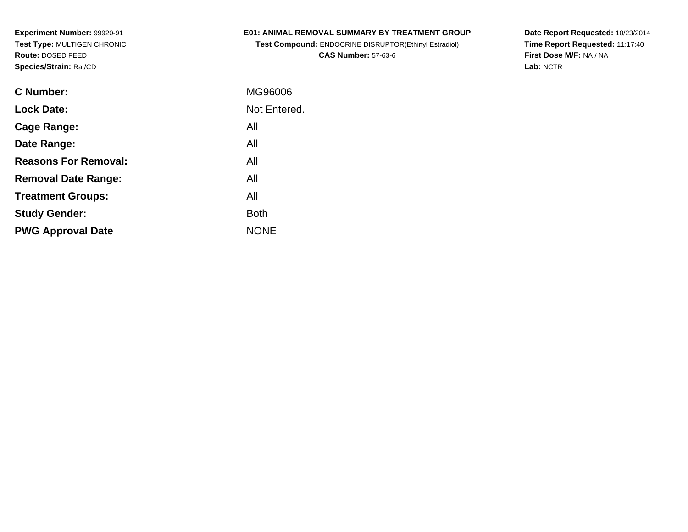**Experiment Number:** 99920-91 **Test Type:** MULTIGEN CHRONIC**Route:** DOSED FEED**Species/Strain:** Rat/CD

#### **E01: ANIMAL REMOVAL SUMMARY BY TREATMENT GROUP**

**Test Compound:** ENDOCRINE DISRUPTOR(Ethinyl Estradiol)**CAS Number:** 57-63-6

**Date Report Requested:** 10/23/2014 **Time Report Requested:** 11:17:40**First Dose M/F:** NA / NA**Lab:** NCTR

| C Number:                   | MG96006      |
|-----------------------------|--------------|
| <b>Lock Date:</b>           | Not Entered. |
| Cage Range:                 | All          |
| Date Range:                 | All          |
| <b>Reasons For Removal:</b> | All          |
| <b>Removal Date Range:</b>  | All          |
| <b>Treatment Groups:</b>    | All          |
| <b>Study Gender:</b>        | <b>Both</b>  |
| <b>PWG Approval Date</b>    | <b>NONE</b>  |
|                             |              |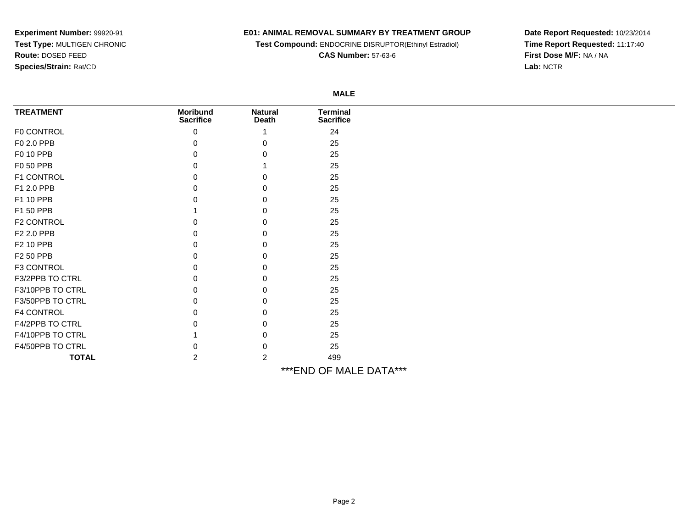# **Experiment Number:** 99920-91 **Test Type:** MULTIGEN CHRONIC**Route:** DOSED FEED**Species/Strain:** Rat/CD

### **E01: ANIMAL REMOVAL SUMMARY BY TREATMENT GROUP**

**Test Compound:** ENDOCRINE DISRUPTOR(Ethinyl Estradiol)

**CAS Number:** 57-63-6

**Date Report Requested:** 10/23/2014 **Time Report Requested:** 11:17:40**First Dose M/F:** NA / NA**Lab:** NCTR

|                   |                                     |                                | <b>MALE</b>                         |  |
|-------------------|-------------------------------------|--------------------------------|-------------------------------------|--|
| <b>TREATMENT</b>  | <b>Moribund</b><br><b>Sacrifice</b> | <b>Natural</b><br><b>Death</b> | <b>Terminal</b><br><b>Sacrifice</b> |  |
| F0 CONTROL        | 0                                   |                                | 24                                  |  |
| F0 2.0 PPB        | 0                                   | O                              | 25                                  |  |
| F0 10 PPB         | n                                   |                                | 25                                  |  |
| F0 50 PPB         | n                                   |                                | 25                                  |  |
| F1 CONTROL        | 0                                   | n                              | 25                                  |  |
| F1 2.0 PPB        | 0                                   |                                | 25                                  |  |
| F1 10 PPB         | n                                   |                                | 25                                  |  |
| F1 50 PPB         |                                     |                                | 25                                  |  |
| F2 CONTROL        |                                     |                                | 25                                  |  |
| F2 2.0 PPB        | 0                                   |                                | 25                                  |  |
| F2 10 PPB         | 0                                   | 0                              | 25                                  |  |
| F2 50 PPB         | 0                                   | 0                              | 25                                  |  |
| F3 CONTROL        | 0                                   | n                              | 25                                  |  |
| F3/2PPB TO CTRL   | 0                                   |                                | 25                                  |  |
| F3/10PPB TO CTRL  | 0                                   |                                | 25                                  |  |
| F3/50PPB TO CTRL  |                                     |                                | 25                                  |  |
| <b>F4 CONTROL</b> |                                     |                                | 25                                  |  |
| F4/2PPB TO CTRL   |                                     |                                | 25                                  |  |
| F4/10PPB TO CTRL  |                                     |                                | 25                                  |  |
| F4/50PPB TO CTRL  | O.                                  | 0                              | 25                                  |  |
| <b>TOTAL</b>      | $\overline{2}$                      | 2                              | 499                                 |  |
|                   |                                     |                                | *** END OF MALE DATA***             |  |